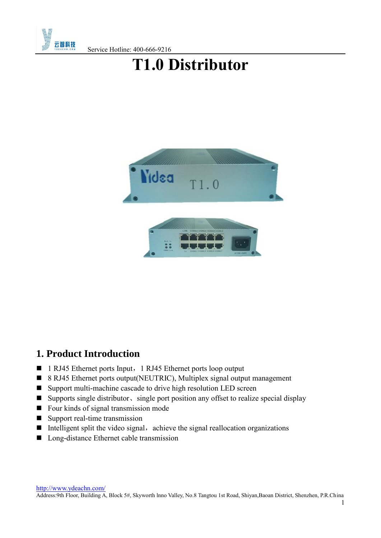

Service Hotline: 400-666-9216

# **T1.0 Distributor**



# **1. Product Introduction**

- 1 RJ45 Ethernet ports Input, 1 RJ45 Ethernet ports loop output
- 8 RJ45 Ethernet ports output(NEUTRIC), Multiplex signal output management
- Support multi-machine cascade to drive high resolution LED screen
- Supports single distributor、single port position any offset to realize special display
- Four kinds of signal transmission mode
- Support real-time transmission
- Intelligent split the video signal, achieve the signal reallocation organizations
- **Long-distance Ethernet cable transmission**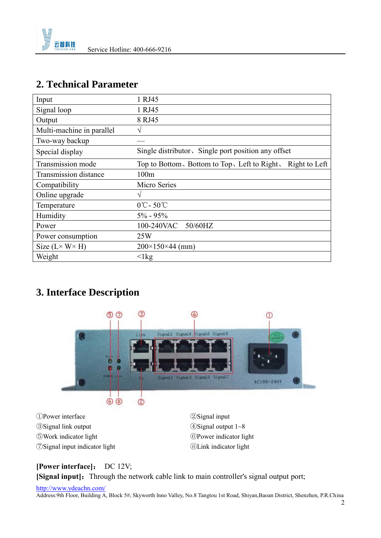

### **2. Technical Parameter**

| Input                        | 1 RJ45                                                        |
|------------------------------|---------------------------------------------------------------|
| Signal loop                  | 1 RJ45                                                        |
| Output                       | 8 RJ45                                                        |
| Multi-machine in parallel    | V                                                             |
| Two-way backup               |                                                               |
| Special display              | Single distributor, Single port position any offset           |
| Transmission mode            | Right to Left<br>Top to Bottom, Bottom to Top, Left to Right, |
| Transmission distance        | 100m                                                          |
| Compatibility                | Micro Series                                                  |
| Online upgrade               | $\sqrt{ }$                                                    |
| Temperature                  | $0^{\circ}$ C - 50 $^{\circ}$ C                               |
| Humidity                     | $5\% - 95\%$                                                  |
| Power                        | 100-240VAC 50/60HZ                                            |
| Power consumption            | 25W                                                           |
| Size $(L \times W \times H)$ | $200\times150\times44$ (mm)                                   |
| Weight                       | $\langle$ 1 $kg$                                              |

# **3. Interface Description**



Power interface ②Signal input Signal link output ④Signal output 1~8 Work indicator light ⑥Power indicator light Signal input indicator light ⑧Link indicator light

#### **[Power interface]**: DC 12V; **[Signal input]:** Through the network cable link to main controller's signal output port;

<http://www.ydeachn.com/>

Address:9th Floor, Building A, Block 5#, Skyworth lnno Valley, No.8 Tangtou 1st Road, Shiyan,Baoan District, Shenzhen, P.R.China